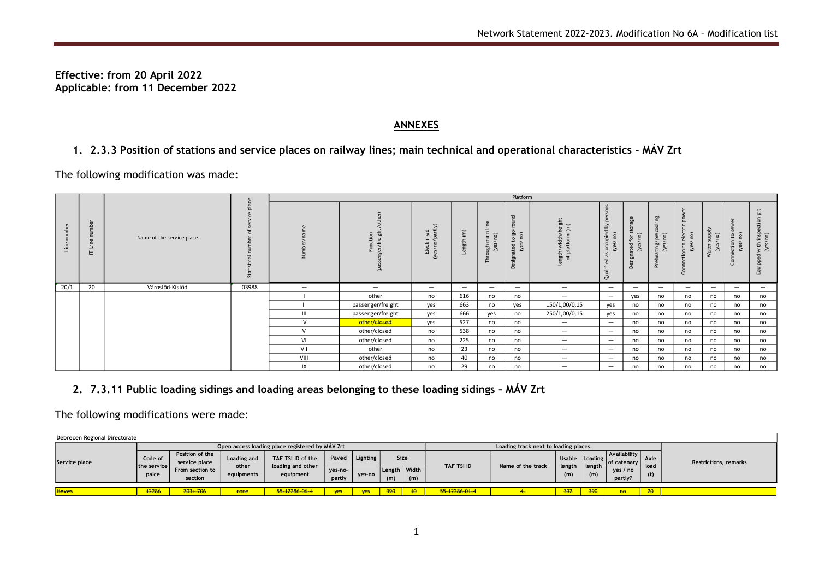**Effective: from 20 April 2022 Applicable: from 11 December 2022**

## **ANNEXES**

## **1. 2.3.3 Position of stations and service places on railway lines; main technical and operational characteristics - MÁV Zrt**

The following modification was made:

|                                                                                                                                           |                            |                           | Platform        |                |                               |                                |                          |                               |                                    |                                       |                                                 |                                    |                                   |                                     |                           |                                 |                          |
|-------------------------------------------------------------------------------------------------------------------------------------------|----------------------------|---------------------------|-----------------|----------------|-------------------------------|--------------------------------|--------------------------|-------------------------------|------------------------------------|---------------------------------------|-------------------------------------------------|------------------------------------|-----------------------------------|-------------------------------------|---------------------------|---------------------------------|--------------------------|
| Line number                                                                                                                               | number<br>Line<br>$\vdash$ | Name of the service place | place<br>Stati: | Number/name    | er/freight/other)<br>Function | Electrified<br>(yes/no/partly) | Length $(m)$             | Through main line<br>(yes/no) | Designated to go-round<br>(yes/no) | ength/width/height<br>of platform (m) | alified as occupied by persor<br>(yes/no)<br>నె | Designated for storage<br>(yes/no) | Preheating/precooling<br>(yes/no) | ection to electric powe<br>(yes/no) | Water supply<br>(yes/ no) | Connection to sewer<br>(yes/no) | with inspec<br>(yes/no)  |
| 20/1                                                                                                                                      | 20                         | Városlőd-Kislőd           | 03988           |                | $\qquad \qquad$               | $\overline{\phantom{0}}$       | $\overline{\phantom{0}}$ | $\qquad \qquad$               | $\overline{\phantom{0}}$           |                                       | $\overline{\phantom{m}}$                        | $\qquad \qquad -$                  | $\overline{\phantom{m}}$          |                                     | $\overline{\phantom{m}}$  |                                 | $\overline{\phantom{0}}$ |
|                                                                                                                                           |                            |                           |                 |                | other                         | no                             | 616                      | no                            | no                                 | —                                     | $\overline{\phantom{m}}$                        | yes                                | no                                | no                                  | no                        | no                              | no                       |
|                                                                                                                                           |                            |                           |                 |                | passenger/freight             | yes                            | 663                      | no                            | yes                                | 150/1,00/0,15                         | yes                                             | no                                 | no                                | no                                  | no                        | no                              | no                       |
|                                                                                                                                           |                            |                           |                 | $\mathbf{III}$ | passenger/freight             | yes                            | 666                      | yes                           | no                                 | 250/1,00/0,15                         | yes                                             | no                                 | no                                | no                                  | no                        | no                              | no                       |
|                                                                                                                                           |                            |                           |                 | IV             | other/closed                  | yes                            | 527                      | no                            | no                                 | $\overline{\phantom{0}}$              | $\overline{\phantom{0}}$                        | no                                 | no                                | no                                  | no                        | no                              | no                       |
|                                                                                                                                           |                            |                           |                 | V              | other/closed                  | no                             | 538                      | no                            | no                                 | $\overline{\phantom{0}}$              |                                                 | no                                 | no                                | no                                  | no                        | no                              | no                       |
|                                                                                                                                           |                            |                           |                 | VI             | other/closed                  | no                             | 225                      | no                            | no                                 | $\overline{\phantom{m}}$              | $\overline{\phantom{m}}$                        | no                                 | no                                | no                                  | no                        | no                              | no                       |
|                                                                                                                                           |                            |                           |                 | VII            | other                         | no                             | 23                       | no                            | no                                 |                                       | $\overline{\phantom{m}}$                        | no                                 | no                                | no                                  | no                        | no                              | no                       |
|                                                                                                                                           |                            |                           |                 | VIII           | other/closed                  | no                             | 40                       | no                            | no                                 | $\qquad \qquad$                       | $\overline{\phantom{m}}$                        | no                                 | no                                | no                                  | no                        | no                              | no                       |
|                                                                                                                                           |                            |                           |                 | IX             | other/closed                  | no                             | 29                       | no                            | no                                 | —                                     | $\overline{\phantom{m}}$                        | no                                 | no                                | no                                  | no                        | no                              | no                       |
| 2. 7.3.11 Public loading sidings and loading areas belonging to these loading sidings - MÁV Zrt<br>The following modifications were made: |                            |                           |                 |                |                               |                                |                          |                               |                                    |                                       |                                                 |                                    |                                   |                                     |                           |                                 |                          |

## **2. 7.3.11 Public loading sidings and loading areas belonging to these loading sidings – MÁV Zrt**

**Debrecen Regional Directorate**

|               | Open access loading place registered by MAV Zrt |                                  |             |                                                     |         |            |              |  |               | Loading track next to loading places |                                 |         |                             |             |                              |
|---------------|-------------------------------------------------|----------------------------------|-------------|-----------------------------------------------------|---------|------------|--------------|--|---------------|--------------------------------------|---------------------------------|---------|-----------------------------|-------------|------------------------------|
| Service place | Code of<br>the service h<br>palce               | Position of the<br>service place | Loading and | TAF TSI ID of the<br>loading and other<br>equipment | Paved   | Lighting   | Size         |  | TAF TSI ID    |                                      | Usable Loading<br>length length |         | Availability<br>of catenary | <b>Axle</b> | <b>Restrictions, remarks</b> |
|               |                                                 | From section to                  | other       |                                                     | yes-no- | ves-no     | Length Width |  |               | Name of the track                    |                                 |         | ves / no                    | load        |                              |
|               |                                                 | section                          | equipments  |                                                     | partly  |            | (m)          |  |               | (m)                                  | (m)                             | partly? | (t)                         |             |                              |
|               |                                                 |                                  |             |                                                     |         |            |              |  |               |                                      |                                 |         |                             |             |                              |
| <b>Heves</b>  | 12286                                           | $103 + 706$                      | none        | 55-12286-06-4                                       |         | <b>VES</b> |              |  | 55-12286-01-4 |                                      | 392                             | 390     | n⊖                          | 20          |                              |